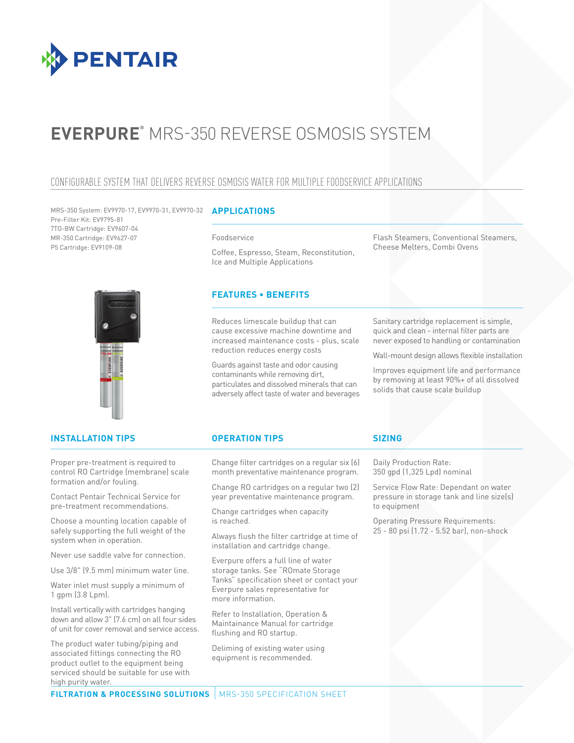

# **EVERPURE®** MRS-350 REVERSE OSMOSIS SYSTEM

# CONFIGURABLE SYSTEM THAT DELIVERS REVERSE OSMOSIS WATER FOR MULTIPLE FOODSERVICE APPLICATIONS

**APPLICATIONS** MRS-350 System: EV9970-17, EV9970-31, EV9970-32 Pre-Filter Kit: EV9795-81 7TO-BW Cartridge: EV9607-04 MR-350 Cartridge: EV9627-07 P5 Cartridge: EV9109-08

#### Foodservice

Coffee, Espresso, Steam, Reconstitution, Ice and Multiple Applications

# **FEATURES • BENEFITS**

Reduces limescale buildup that can cause excessive machine downtime and increased maintenance costs - plus, scale reduction reduces energy costs

Guards against taste and odor causing contaminants while removing dirt, particulates and dissolved minerals that can adversely affect taste of water and beverages

Flash Steamers, Conventional Steamers, Cheese Melters, Combi Ovens

Sanitary cartridge replacement is simple, quick and clean - internal filter parts are never exposed to handling or contamination

Wall-mount design allows flexible installation

Improves equipment life and performance by removing at least 90%+ of all dissolved solids that cause scale buildup

# **INSTALLATION TIPS OPERATION TIPS**

Proper pre-treatment is required to control RO Cartridge (membrane) scale formation and/or fouling.

Contact Pentair Technical Service for pre-treatment recommendations.

Choose a mounting location capable of safely supporting the full weight of the system when in operation.

Never use saddle valve for connection.

Use 3/8" (9.5 mm) minimum water line.

Water inlet must supply a minimum of 1 gpm (3.8 Lpm).

Install vertically with cartridges hanging down and allow 3" (7.6 cm) on all four sides of unit for cover removal and service access.

The product water tubing/piping and associated fittings connecting the RO product outlet to the equipment being serviced should be suitable for use with high purity water.

Change filter cartridges on a regular six (6) month preventative maintenance program.

Change RO cartridges on a regular two (2) year preventative maintenance program.

Change cartridges when capacity is reached.

Always flush the filter cartridge at time of installation and cartridge change.

Everpure offers a full line of water storage tanks. See "ROmate Storage Tanks" specification sheet or contact your Everpure sales representative for more information.

Refer to Installation, Operation & Maintainance Manual for cartridge flushing and RO startup.

Deliming of existing water using equipment is recommended.

## **SIZING**

Daily Production Rate: 350 gpd (1,325 Lpd) nominal

Service Flow Rate: Dependant on water pressure in storage tank and line size(s) to equipment

Operating Pressure Requirements: 25 - 80 psi (1.72 - 5.52 bar), non-shock